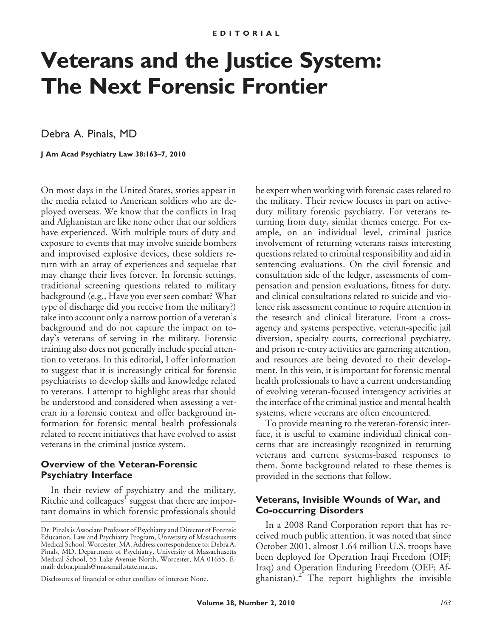# **Veterans and the Justice System: The Next Forensic Frontier**

Debra A. Pinals, MD

**J Am Acad Psychiatry Law 38:163–7, 2010**

On most days in the United States, stories appear in the media related to American soldiers who are deployed overseas. We know that the conflicts in Iraq and Afghanistan are like none other that our soldiers have experienced. With multiple tours of duty and exposure to events that may involve suicide bombers and improvised explosive devices, these soldiers return with an array of experiences and sequelae that may change their lives forever. In forensic settings, traditional screening questions related to military background (e.g., Have you ever seen combat? What type of discharge did you receive from the military?) take into account only a narrow portion of a veteran's background and do not capture the impact on today's veterans of serving in the military. Forensic training also does not generally include special attention to veterans. In this editorial, I offer information to suggest that it is increasingly critical for forensic psychiatrists to develop skills and knowledge related to veterans. I attempt to highlight areas that should be understood and considered when assessing a veteran in a forensic context and offer background information for forensic mental health professionals related to recent initiatives that have evolved to assist veterans in the criminal justice system.

## **Overview of the Veteran-Forensic Psychiatry Interface**

In their review of psychiatry and the military, Ritchie and colleagues $<sup>T</sup>$  suggest that there are impor-</sup> tant domains in which forensic professionals should be expert when working with forensic cases related to the military. Their review focuses in part on activeduty military forensic psychiatry. For veterans returning from duty, similar themes emerge. For example, on an individual level, criminal justice involvement of returning veterans raises interesting questions related to criminal responsibility and aid in sentencing evaluations. On the civil forensic and consultation side of the ledger, assessments of compensation and pension evaluations, fitness for duty, and clinical consultations related to suicide and violence risk assessment continue to require attention in the research and clinical literature. From a crossagency and systems perspective, veteran-specific jail diversion, specialty courts, correctional psychiatry, and prison re-entry activities are garnering attention, and resources are being devoted to their development. In this vein, it is important for forensic mental health professionals to have a current understanding of evolving veteran-focused interagency activities at the interface of the criminal justice and mental health systems, where veterans are often encountered.

To provide meaning to the veteran-forensic interface, it is useful to examine individual clinical concerns that are increasingly recognized in returning veterans and current systems-based responses to them. Some background related to these themes is provided in the sections that follow.

#### **Veterans, Invisible Wounds of War, and Co-occurring Disorders**

In a 2008 Rand Corporation report that has received much public attention, it was noted that since October 2001, almost 1.64 million U.S. troops have been deployed for Operation Iraqi Freedom (OIF; Iraq) and Operation Enduring Freedom (OEF; Afghanistan). $2^{2}$  The report highlights the invisible

Dr. Pinals is Associate Professor of Psychiatry and Director of Forensic Education, Law and Psychiatry Program, University of Massachusetts Medical School, Worcester, MA. Address correspondence to: Debra A. Pinals, MD, Department of Psychiatry, University of Massachusetts Medical School, 55 Lake Avenue North, Worcester, MA 01655. Email: debra.pinals@massmail.state.ma.us.

Disclosures of financial or other conflicts of interest: None.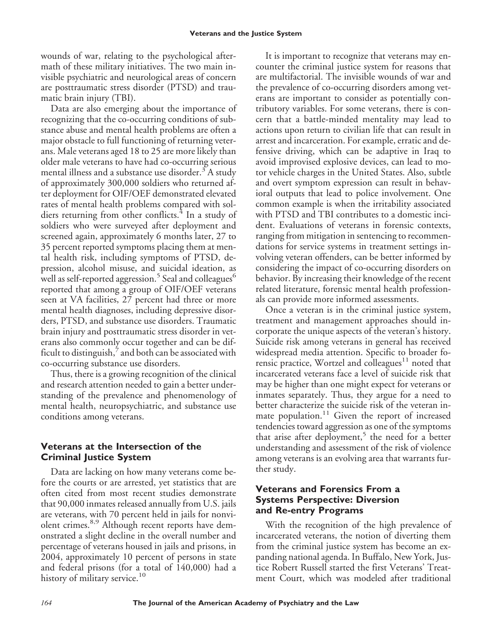wounds of war, relating to the psychological aftermath of these military initiatives. The two main invisible psychiatric and neurological areas of concern are posttraumatic stress disorder (PTSD) and traumatic brain injury (TBI).

Data are also emerging about the importance of recognizing that the co-occurring conditions of substance abuse and mental health problems are often a major obstacle to full functioning of returning veterans. Male veterans aged 18 to 25 are more likely than older male veterans to have had co-occurring serious mental illness and a substance use disorder.<sup>3</sup> A study of approximately 300,000 soldiers who returned after deployment for OIF/OEF demonstrated elevated rates of mental health problems compared with soldiers returning from other conflicts.<sup>4</sup> In a study of soldiers who were surveyed after deployment and screened again, approximately 6 months later, 27 to 35 percent reported symptoms placing them at mental health risk, including symptoms of PTSD, depression, alcohol misuse, and suicidal ideation, as well as self-reported aggression.<sup>5</sup> Seal and colleagues<sup>6</sup> reported that among a group of OIF/OEF veterans seen at VA facilities, 27 percent had three or more mental health diagnoses, including depressive disorders, PTSD, and substance use disorders. Traumatic brain injury and posttraumatic stress disorder in veterans also commonly occur together and can be difficult to distinguish, $\frac{7}{1}$  and both can be associated with co-occurring substance use disorders.

Thus, there is a growing recognition of the clinical and research attention needed to gain a better understanding of the prevalence and phenomenology of mental health, neuropsychiatric, and substance use conditions among veterans.

## **Veterans at the Intersection of the Criminal Justice System**

Data are lacking on how many veterans come before the courts or are arrested, yet statistics that are often cited from most recent studies demonstrate that 90,000 inmates released annually from U.S. jails are veterans, with 70 percent held in jails for nonviolent crimes.<sup>8,9</sup> Although recent reports have demonstrated a slight decline in the overall number and percentage of veterans housed in jails and prisons, in 2004, approximately 10 percent of persons in state and federal prisons (for a total of 140,000) had a history of military service.<sup>10</sup>

It is important to recognize that veterans may encounter the criminal justice system for reasons that are multifactorial. The invisible wounds of war and the prevalence of co-occurring disorders among veterans are important to consider as potentially contributory variables. For some veterans, there is concern that a battle-minded mentality may lead to actions upon return to civilian life that can result in arrest and incarceration. For example, erratic and defensive driving, which can be adaptive in Iraq to avoid improvised explosive devices, can lead to motor vehicle charges in the United States. Also, subtle and overt symptom expression can result in behavioral outputs that lead to police involvement. One common example is when the irritability associated with PTSD and TBI contributes to a domestic incident. Evaluations of veterans in forensic contexts, ranging from mitigation in sentencing to recommendations for service systems in treatment settings involving veteran offenders, can be better informed by considering the impact of co-occurring disorders on behavior. By increasing their knowledge of the recent related literature, forensic mental health professionals can provide more informed assessments.

Once a veteran is in the criminal justice system, treatment and management approaches should incorporate the unique aspects of the veteran's history. Suicide risk among veterans in general has received widespread media attention. Specific to broader forensic practice, Wortzel and colleagues $11$  noted that incarcerated veterans face a level of suicide risk that may be higher than one might expect for veterans or inmates separately. Thus, they argue for a need to better characterize the suicide risk of the veteran inmate population.<sup>11</sup> Given the report of increased tendencies toward aggression as one of the symptoms that arise after deployment,<sup>5</sup> the need for a better understanding and assessment of the risk of violence among veterans is an evolving area that warrants further study.

## **Veterans and Forensics From a Systems Perspective: Diversion and Re-entry Programs**

With the recognition of the high prevalence of incarcerated veterans, the notion of diverting them from the criminal justice system has become an expanding national agenda. In Buffalo, New York, Justice Robert Russell started the first Veterans' Treatment Court, which was modeled after traditional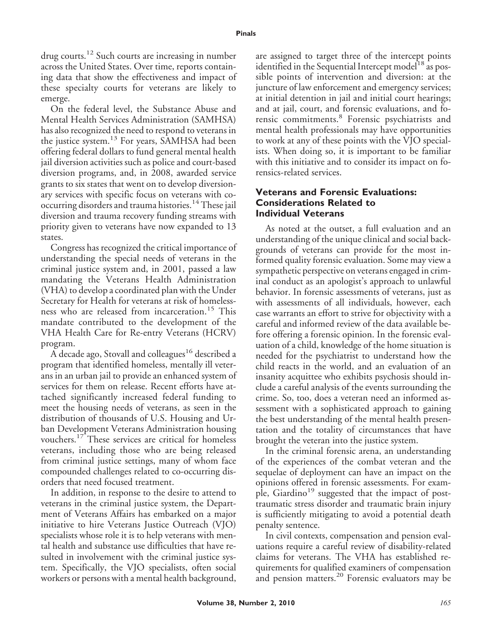drug courts.<sup>12</sup> Such courts are increasing in number across the United States. Over time, reports containing data that show the effectiveness and impact of these specialty courts for veterans are likely to emerge.

On the federal level, the Substance Abuse and Mental Health Services Administration (SAMHSA) has also recognized the need to respond to veterans in the justice system.<sup>13</sup> For years, SAMHSA had been offering federal dollars to fund general mental health jail diversion activities such as police and court-based diversion programs, and, in 2008, awarded service grants to six states that went on to develop diversionary services with specific focus on veterans with cooccurring disorders and trauma histories.<sup>14</sup> These jail diversion and trauma recovery funding streams with priority given to veterans have now expanded to 13 states.

Congress has recognized the critical importance of understanding the special needs of veterans in the criminal justice system and, in 2001, passed a law mandating the Veterans Health Administration (VHA) to develop a coordinated plan with the Under Secretary for Health for veterans at risk of homelessness who are released from incarceration.<sup>15</sup> This mandate contributed to the development of the VHA Health Care for Re-entry Veterans (HCRV) program.

A decade ago, Stovall and colleagues<sup>16</sup> described a program that identified homeless, mentally ill veterans in an urban jail to provide an enhanced system of services for them on release. Recent efforts have attached significantly increased federal funding to meet the housing needs of veterans, as seen in the distribution of thousands of U.S. Housing and Urban Development Veterans Administration housing vouchers.<sup>17</sup> These services are critical for homeless veterans, including those who are being released from criminal justice settings, many of whom face compounded challenges related to co-occurring disorders that need focused treatment.

In addition, in response to the desire to attend to veterans in the criminal justice system, the Department of Veterans Affairs has embarked on a major initiative to hire Veterans Justice Outreach (VJO) specialists whose role it is to help veterans with mental health and substance use difficulties that have resulted in involvement with the criminal justice system. Specifically, the VJO specialists, often social workers or persons with a mental health background,

are assigned to target three of the intercept points identified in the Sequential Intercept model<sup>18</sup> as possible points of intervention and diversion: at the juncture of law enforcement and emergency services; at initial detention in jail and initial court hearings; and at jail, court, and forensic evaluations, and forensic commitments.<sup>8</sup> Forensic psychiatrists and mental health professionals may have opportunities to work at any of these points with the VJO specialists. When doing so, it is important to be familiar with this initiative and to consider its impact on forensics-related services.

### **Veterans and Forensic Evaluations: Considerations Related to Individual Veterans**

As noted at the outset, a full evaluation and an understanding of the unique clinical and social backgrounds of veterans can provide for the most informed quality forensic evaluation. Some may view a sympathetic perspective on veterans engaged in criminal conduct as an apologist's approach to unlawful behavior. In forensic assessments of veterans, just as with assessments of all individuals, however, each case warrants an effort to strive for objectivity with a careful and informed review of the data available before offering a forensic opinion. In the forensic evaluation of a child, knowledge of the home situation is needed for the psychiatrist to understand how the child reacts in the world, and an evaluation of an insanity acquittee who exhibits psychosis should include a careful analysis of the events surrounding the crime. So, too, does a veteran need an informed assessment with a sophisticated approach to gaining the best understanding of the mental health presentation and the totality of circumstances that have brought the veteran into the justice system.

In the criminal forensic arena, an understanding of the experiences of the combat veteran and the sequelae of deployment can have an impact on the opinions offered in forensic assessments. For example, Giardino<sup>19</sup> suggested that the impact of posttraumatic stress disorder and traumatic brain injury is sufficiently mitigating to avoid a potential death penalty sentence.

In civil contexts, compensation and pension evaluations require a careful review of disability-related claims for veterans. The VHA has established requirements for qualified examiners of compensation and pension matters.<sup>20</sup> Forensic evaluators may be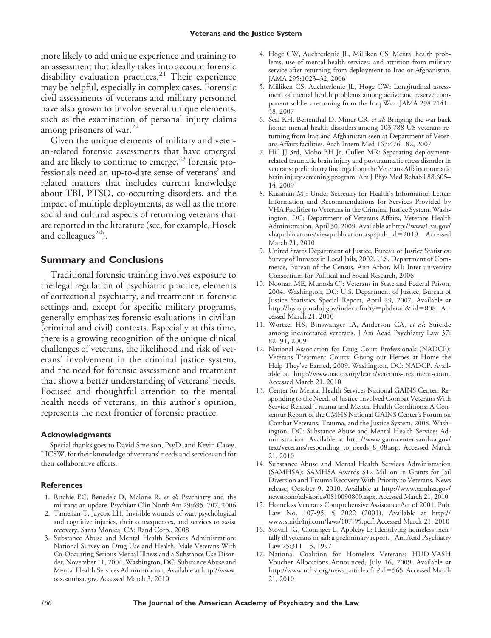more likely to add unique experience and training to an assessment that ideally takes into account forensic disability evaluation practices.<sup>21</sup> Their experience may be helpful, especially in complex cases. Forensic civil assessments of veterans and military personnel have also grown to involve several unique elements, such as the examination of personal injury claims among prisoners of war. $^{22}$ 

Given the unique elements of military and veteran-related forensic assessments that have emerged and are likely to continue to emerge, $^{23}$  forensic professionals need an up-to-date sense of veterans' and related matters that includes current knowledge about TBI, PTSD, co-occurring disorders, and the impact of multiple deployments, as well as the more social and cultural aspects of returning veterans that are reported in the literature (see, for example, Hosek and colleagues<sup>24</sup>).

#### **Summary and Conclusions**

Traditional forensic training involves exposure to the legal regulation of psychiatric practice, elements of correctional psychiatry, and treatment in forensic settings and, except for specific military programs, generally emphasizes forensic evaluations in civilian (criminal and civil) contexts. Especially at this time, there is a growing recognition of the unique clinical challenges of veterans, the likelihood and risk of veterans' involvement in the criminal justice system, and the need for forensic assessment and treatment that show a better understanding of veterans' needs. Focused and thoughtful attention to the mental health needs of veterans, in this author's opinion, represents the next frontier of forensic practice.

#### **Acknowledgments**

Special thanks goes to David Smelson, PsyD, and Kevin Casey, LICSW, for their knowledge of veterans' needs and services and for their collaborative efforts.

#### **References**

- 1. Ritchie EC, Benedek D, Malone R, *et al*: Psychiatry and the military: an update. Psychiatr Clin North Am 29:695–707, 2006
- 2. Tanielian T, Jaycox LH: Invisible wounds of war: psychological and cognitive injuries, their consequences, and services to assist recovery. Santa Monica, CA: Rand Corp., 2008
- 3. Substance Abuse and Mental Health Services Administration: National Survey on Drug Use and Health, Male Veterans With Co-Occurring Serious Mental Illness and a Substance Use Disorder, November 11, 2004. Washington, DC: Substance Abuse and Mental Health Services Administration. Available at http://www. oas.samhsa.gov. Accessed March 3, 2010
- 4. Hoge CW, Auchterlonie JL, Milliken CS: Mental health problems, use of mental health services, and attrition from military service after returning from deployment to Iraq or Afghanistan. JAMA 295:1023–32, 2006
- 5. Milliken CS, Auchterlonie JL, Hoge CW: Longitudinal assessment of mental health problems among active and reserve component soldiers returning from the Iraq War. JAMA 298:2141– 48, 2007
- 6. Seal KH, Bertenthal D, Miner CR, *et al*: Bringing the war back home: mental health disorders among 103,788 US veterans returning from Iraq and Afghanistan seen at Department of Veterans Affairs facilities. Arch Intern Med 167:476 – 82, 2007
- 7. Hill JJ 3rd, Mobo BH Jr, Cullen MR: Separating deploymentrelated traumatic brain injury and posttraumatic stress disorder in veterans: preliminary findings from the Veterans Affairs traumatic brain injury screening program. Am J Phys Med Rehabil 88:605– 14, 2009
- 8. Kussman MJ: Under Secretary for Health's Information Letter: Information and Recommendations for Services Provided by VHA Facilities to Veterans in the Criminal Justice System. Washington, DC: Department of Veterans Affairs, Veterans Health Administration, April 30, 2009. Available at http://www1.va.gov/ vhapublications/viewpublication.asp?pub\_id=2019. Accessed March 21, 2010
- 9. United States Department of Justice, Bureau of Justice Statistics: Survey of Inmates in Local Jails, 2002. U.S. Department of Commerce, Bureau of the Census. Ann Arbor, MI: Inter-university Consortium for Political and Social Research, 2006
- 10. Noonan ME, Mumola CJ: Veterans in State and Federal Prison, 2004. Washington, DC: U.S. Department of Justice, Bureau of Justice Statistics Special Report, April 29, 2007. Available at http://bjs.ojp.usdoj.gov/index.cfm?ty=pbdetail&iid=808. Accessed March 21, 2010
- 11. Wortzel HS, Binswanger IA, Anderson CA, *et al*: Suicide among incarcerated veterans. J Am Acad Psychiatry Law 37: 82–91, 2009
- 12. National Association for Drug Court Professionals (NADCP): Veterans Treatment Courts: Giving our Heroes at Home the Help They've Earned, 2009. Washington, DC: NADCP. Available at http://www.nadcp.org/learn/veterans-treatment-court. Accessed March 21, 2010
- 13. Center for Mental Health Services National GAINS Center: Responding to the Needs of Justice-Involved Combat Veterans With Service-Related Trauma and Mental Health Conditions: A Consensus Report of the CMHS National GAINS Center's Forum on Combat Veterans, Trauma, and the Justice System, 2008. Washington, DC: Substance Abuse and Mental Health Services Administration. Available at http://www.gainscenter.samhsa.gov/ text/veterans/responding\_to\_needs\_8\_08.asp. Accessed March 21, 2010
- 14. Substance Abuse and Mental Health Services Administration (SAMHSA): SAMHSA Awards \$12 Million in Grants for Jail Diversion and Trauma Recovery With Priority to Veterans. News release, October 9, 2010. Available at http://www.samhsa.gov/ newsroom/advisories/0810090800.aspx. Accessed March 21, 2010
- 15. Homeless Veterans Comprehensive Assistance Act of 2001, Pub. Law No. 107-95, § 2022 (2001). Available at http:// www.smith4nj.com/laws/107-95.pdf. Accessed March 21, 2010
- 16. Stovall JG, Cloninger L, Appleby L: Identifying homeless mentally ill veterans in jail: a preliminary report. J Am Acad Psychiatry Law 25:311–15, 1997
- 17. National Coalition for Homeless Veterans: HUD-VASH Voucher Allocations Announced, July 16, 2009. Available at http://www.nchv.org/news\_article.cfm?id=565. Accessed March 21, 2010